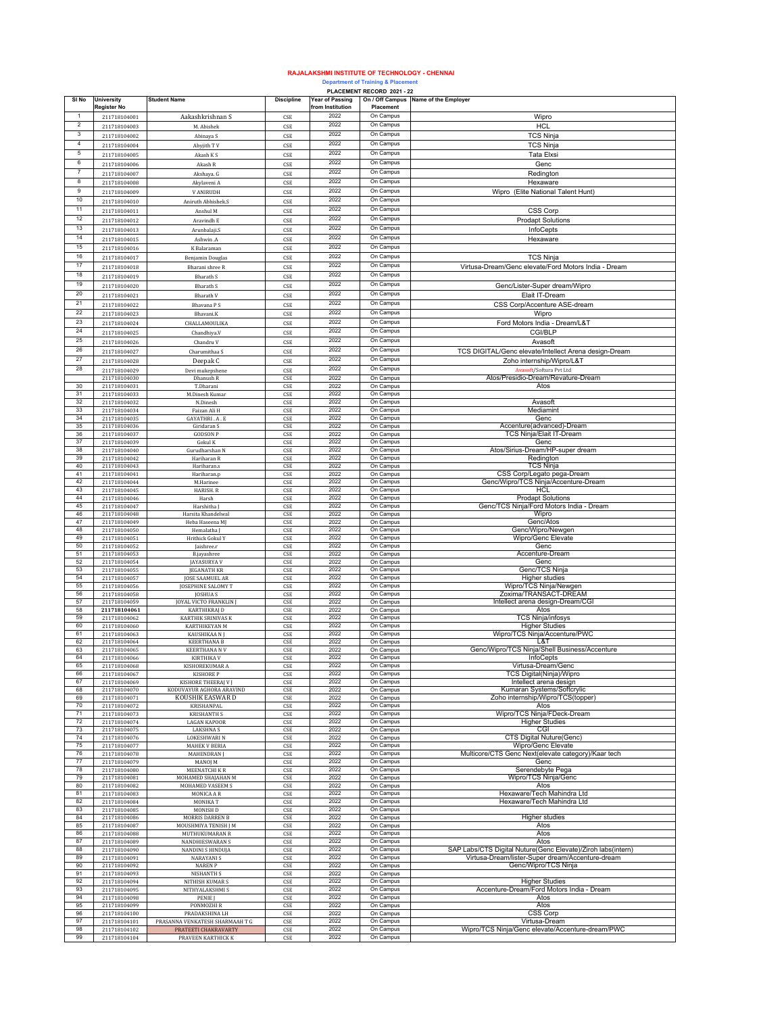## **RAJALAKSHMI INSTITUTE OF TECHNOLOGY - CHENNAI**

## **Department of Training & Placement PLACEMENT RECORD 2021 - 22**

|                |                              |                                            |                             |                        | PLACEMENT RECORD 2021 - 22 |                                                              |
|----------------|------------------------------|--------------------------------------------|-----------------------------|------------------------|----------------------------|--------------------------------------------------------------|
| SI No          | <b>University</b>            | <b>Student Name</b>                        | <b>Discipline</b>           | <b>Year of Passing</b> |                            | On / Off Campus Name of the Employer                         |
|                | Register No                  |                                            |                             | from Institution       | Placement                  |                                                              |
| 1              | 211718104001                 | Aakashkrishnan S                           | CSE                         | 2022                   | On Campus                  | Wipro                                                        |
| 2              | 211718104003                 | M. Abishek                                 | CSE                         | 2022                   | On Campus                  | <b>HCL</b>                                                   |
| 3              | 211718104002                 | Abinaya S                                  | CSE                         | 2022                   | On Campus                  | TCS Ninja                                                    |
| $\overline{4}$ |                              |                                            |                             | 2022                   | On Campus                  |                                                              |
|                | 211718104004                 | Abyjith TV                                 | $\mathsf{CSE}\xspace$       |                        |                            | <b>TCS Ninja</b>                                             |
| 5              | 211718104005                 | Akash K S                                  | CSE                         | 2022                   | On Campus                  | <b>Tata Elxsi</b>                                            |
| 6              | 211718104006                 | Akash R                                    | $\ensuremath{\mathsf{CSE}}$ | 2022                   | On Campus                  | Genc                                                         |
| 7              | 211718104007                 | Akshaya. G                                 | CSE                         | 2022                   | On Campus                  | Redington                                                    |
| 8              |                              |                                            |                             | 2022                   | On Campus                  |                                                              |
|                | 211718104008                 | Akylaveni A                                | $\mathsf{CSE}\xspace$       |                        |                            | Hexaware                                                     |
| 9              | 211718104009                 | <b>V ANIRUDH</b>                           | $\mathsf{CSE}\xspace$       | 2022                   | On Campus                  | Wipro (Elite National Talent Hunt)                           |
| $10$           | 211718104010                 | Aniruth Abhishek.S                         | CSE                         | 2022                   | On Campus                  |                                                              |
| 11             | 211718104011                 | Anshul M                                   | CSE                         | 2022                   | On Campus                  | CSS Corp                                                     |
|                |                              |                                            |                             |                        |                            |                                                              |
| 12             | 211718104012                 | Aravindh E                                 | $\ensuremath{\mathsf{CSE}}$ | 2022                   | On Campus                  | <b>Prodapt Solutions</b>                                     |
| 13             | 211718104013                 | Arunbalaji.S                               | $\ensuremath{\mathsf{CSE}}$ | 2022                   | On Campus                  | InfoCepts                                                    |
| 14             | 211718104015                 | Ashwin .A                                  | CSE                         | 2022                   | On Campus                  | Hexaware                                                     |
| 15             | 211718104016                 | K Balaraman                                | CSE                         | 2022                   | On Campus                  |                                                              |
| 16             |                              |                                            |                             | 2022                   | On Campus                  |                                                              |
|                | 211718104017                 | <b>Benjamin Douglas</b>                    | CSE                         |                        |                            | <b>TCS Ninja</b>                                             |
| 17             | 211718104018                 | Bharani shree R                            | CSE                         | 2022                   | On Campus                  | Virtusa-Dream/Genc elevate/Ford Motors India - Dream         |
| 18             | 211718104019                 | <b>Bharath S</b>                           | CSE                         | 2022                   | On Campus                  |                                                              |
| 19             | 211718104020                 | <b>Bharath S</b>                           | CSE                         | 2022                   | On Campus                  | Genc/Lister-Super dream/Wipro                                |
| 20             |                              |                                            |                             | 2022                   | On Campus                  |                                                              |
|                | 211718104021                 | <b>Bharath V</b>                           | CSE                         |                        |                            | Elait IT-Dream                                               |
| 21             | 211718104022                 | Bhavana P S                                | CSE                         | 2022                   | On Campus                  | CSS Corp/Accenture ASE-dream                                 |
| 22             | 211718104023                 | Bhavani.K                                  | $\ensuremath{\mathsf{CSE}}$ | 2022                   | On Campus                  | Wipro                                                        |
| 23             | 211718104024                 | CHALLAMOULIKA                              | CSE                         | 2022                   | On Campus                  | Ford Motors India - Dream/L&T                                |
| 24             |                              |                                            |                             | 2022                   | On Campus                  |                                                              |
|                | 211718104025                 | Chandhiya.V                                | CSE                         |                        |                            | CGI/BLP                                                      |
| 25             | 211718104026                 | Chandru V                                  | CSE                         | 2022                   | On Campus                  | Avasoft                                                      |
| 26             | 211718104027                 | Charumithaa S                              | CSE                         | 2022                   | On Campus                  | TCS DIGITAL/Genc elevate/Intellect Arena design-Dream        |
| $27\,$         | 211718104028                 | Deepak C                                   | CSE                         | 2022                   | On Campus                  | Zoho internship/Wipro/L&T                                    |
| 28             |                              |                                            |                             | 2022                   | On Campus                  |                                                              |
|                | 211718104029                 | Devi mukepshene                            | CSE                         |                        |                            | <b>Avasoft/Softura Pvt Ltd</b>                               |
|                | 211718104030                 | Dhanush R                                  | CSE                         | 2022                   | On Campus                  | Atos/Presidio-Dream/Revature-Dream                           |
| 30             | 211718104031                 | T.Dharani                                  | CSE                         | 2022                   | On Campus                  | Atos                                                         |
| 31             | 211718104033                 | M.Dinesh Kumar                             | $\mathsf{CSE}\xspace$       | 2022                   | On Campus                  |                                                              |
| 32             | 211718104032                 | N.Dinesh                                   | $\ensuremath{\mathsf{CSE}}$ | 2022                   | On Campus                  | Avasoft                                                      |
| 33             | 211718104034                 | Faizan Ali H                               | $\mathsf{CSE}\xspace$       | 2022                   | On Campus                  | Mediamint                                                    |
| 34             | 211718104035                 | GAYATHRI . A . E                           | CSE                         | 2022                   | On Campus                  | Genc                                                         |
| 35             | 211718104036                 | Giridaran S                                | CSE                         | 2022                   | On Campus                  | Accenture(advanced)-Dream                                    |
| 36             | 211718104037                 | <b>GODSON P</b>                            | CSE                         | 2022                   | On Campus                  | TCS Ninja/Elait IT-Dream                                     |
| 37             | 211718104039                 | Gokul K                                    | CSE                         | 2022                   | On Campus                  | Genc                                                         |
| 38             | 211718104040                 | Gurudharshan N                             | CSE                         | 2022                   | On Campus                  | Atos/Sirius-Dream/HP-super dream                             |
| 39             | 211718104042                 | Hariharan R                                | CSE                         | 2022                   | On Campus                  | Redington                                                    |
| 40             | 211718104043                 | Hariharan.s                                | CSE                         | 2022                   | On Campus                  | <b>TCS Ninja</b>                                             |
| 41             | 211718104041                 | Hariharan.p                                | CSE                         | 2022                   | On Campus                  | CSS Corp/Legato pega-Dream                                   |
| 42             |                              |                                            |                             | 2022                   |                            |                                                              |
|                | 211718104044                 | M.Harinee                                  | CSE                         |                        | On Campus                  | Genc/Wipro/TCS Ninja/Accenture-Dream                         |
| 43             | 211718104045                 | HARISH. R                                  | CSE                         | 2022                   | On Campus                  | HCL                                                          |
| 44             | 211718104046                 | Harsh                                      | CSE                         | 2022                   | On Campus                  | <b>Prodapt Solutions</b>                                     |
| 45             | 211718104047                 | Harshitha J                                | $\ensuremath{\mathsf{CSE}}$ | 2022                   | On Campus                  | Genc/TCS Ninja/Ford Motors India - Dream                     |
| 46             | 211718104048                 | Harsita Khandelwal                         | CSE                         | 2022                   | On Campus                  | Wipro                                                        |
| 47             | 211718104049                 | Heba Haseena MJ                            | CSE                         | 2022                   | On Campus                  | Genc/Atos                                                    |
| 48             | 211718104050                 | Hemalatha <sup>]</sup>                     | CSE                         | 2022                   | On Campus                  | Genc/Wipro/Newgen                                            |
| 49             | 211718104051                 | <b>Hrithick Gokul Y</b>                    | CSE                         | 2022                   | On Campus                  | Wipro/Genc Elevate                                           |
| 50             | 211718104052                 | Jaishree.r                                 | CSE                         | 2022                   | On Campus                  | Genc                                                         |
| 51             | 211718104053                 | <b>B.jayashree</b>                         | CSE                         | 2022                   | On Campus                  | Accenture-Dream                                              |
| 52             | 211718104054                 | <b>JAYASURYA V</b>                         | CSE                         | 2022                   | On Campus                  | Genc                                                         |
| 53             | 211718104055                 | <b>JEGANATH KR</b>                         | CSE                         | 2022                   | On Campus                  | Genc/TCS Ninja                                               |
| 54             | 211718104057                 | JOSE SAAMUEL AR                            | CSE                         | 2022                   | On Campus                  | Higher studies                                               |
| 55             | 211718104056                 | JOSEPHINE SALOMY T                         | CSE                         | 2022                   | On Campus                  | Wipro/TCS Ninja/Newgen                                       |
| 56             | 211718104058                 | <b>JOSHUAS</b>                             | CSE                         | 2022                   | On Campus                  | Zoxima/TRANSACT-DREAM                                        |
| 57             | 211718104059                 | <b>JOYAL VICTO FRANKLIN</b>                | $\ensuremath{\mathsf{CSE}}$ | 2022                   | On Campus                  | Intellect arena design-Dream/CGI                             |
| 58             | 211718104061                 | KARTHIKRAJ D                               | $\mathsf{CSE}\xspace$       | 2022                   | On Campus                  | Atos                                                         |
| 59             |                              |                                            |                             | 2022                   | On Campus                  | <b>TCS Ninja/infosys</b>                                     |
|                | 211718104062                 | KARTHIK SRINIVAS K                         | CSE                         |                        |                            |                                                              |
| 60             | 211718104060                 | KARTHIKEYAN M                              | CSE                         | 2022                   | On Campus                  | <b>Higher Studies</b>                                        |
| 61             | 211718104063                 | KAUSHIKAA NJ                               | CSE                         | 2022                   | On Campus                  | Wipro/TCS Ninja/Accenture/PWC                                |
| 62             | 211718104064                 | <b>KEERTHANA B</b>                         | CSE                         | 2022                   | On Campus                  | L&T                                                          |
| 63             | 211718104065                 | <b>KEERTHANA N V</b>                       | CSE                         | 2022                   | On Campus                  | Genc/Wipro/TCS Ninja/Shell Business/Accenture                |
| 64             | 211718104066                 | <b>KIRTHIKA V</b>                          | CSE                         | 2022                   | On Campus                  | InfoCepts                                                    |
| 65             | 211718104068                 | KISHOREKUMAR                               |                             | 2022                   | On Can                     | Virtusa-Dream/G                                              |
| 66             | 211718104067                 | <b>KISHORE P</b>                           | CSE                         | 2022                   | On Campus                  | TCS Digital(Ninja)/Wipro                                     |
| 67             | 211718104069                 | KISHORE THEERAJ V J                        | CSE                         | 2022                   | On Campus                  | Intellect arena design                                       |
| 68             | 211718104070                 | KODUVAYUR AGHORA ARAVIND                   | CSE                         | 2022                   | On Campus                  | Kumaran Systems/Softcrylic                                   |
| 69             | 211718104071                 | KOUSHIK EASWAR D                           | CSE                         | 2022                   | On Campus                  | Zoho internship/Wipro/TCS(topper)                            |
| 70             | 211718104072                 | KRISHANPAL                                 | $\ensuremath{\mathsf{CSE}}$ | 2022                   | On Campus                  | Atos                                                         |
| 71             | 211718104073                 | <b>KRISHANTH S</b>                         | CSE                         | 2022                   | On Campus                  | Wipro/TCS Ninja/FDeck-Dream                                  |
| 72             | 211718104074                 | <b>LAGAN KAPOOR</b>                        | CSE                         | 2022                   | On Campus                  | <b>Higher Studies</b>                                        |
| 73             | 211718104075                 | <b>LAKSHNAS</b>                            | CSE                         | 2022                   | On Campus                  | CGI                                                          |
| 74             | 211718104076                 | <b>LOKESHWARI N</b>                        | CSE                         | 2022                   | On Campus                  | <b>CTS Digital Nuture(Genc)</b>                              |
| 75             | 211718104077                 | <b>MAHEK V BERIA</b>                       | CSE                         | 2022                   | On Campus                  | Wipro/Genc Elevate                                           |
| 76             | 211718104078                 | <b>MAHENDRAN</b>                           | CSE                         | 2022                   | On Campus                  | Multicore/CTS Genc Next(elevate category)/Kaar tech          |
| 77             | 211718104079                 | MANOJ M                                    | CSE                         | 2022                   | On Campus                  | Genc                                                         |
| 78             | 211718104080                 | MEENATCHI K R                              | CSE                         | 2022                   | On Campus                  | Serendebyte Pega                                             |
| 79             | 211718104081                 | MOHAMED SHAJAHAN M                         | CSE                         | 2022                   | On Campus                  | Wipro/TCS Ninja/Genc                                         |
| 80             | 211718104082                 | MOHAMED VASEEM S                           | CSE                         | 2022                   | On Campus                  | Atos                                                         |
| 81             | 211718104083                 | MONICA A R                                 | CSE                         | 2022                   | On Campus                  | Hexaware/Tech Mahindra Ltd                                   |
| 82             | 211718104084                 | MONIKA T                                   |                             | 2022                   | On Campus                  |                                                              |
|                |                              |                                            | $\ensuremath{\mathsf{CSE}}$ |                        |                            | Hexaware/Tech Mahindra Ltd                                   |
| 83             | 211718104085                 | <b>MONISH D</b>                            | $\mathsf{CSE}\xspace$       | 2022                   | On Campus                  |                                                              |
| 84             | 211718104086                 | MORRIS DARREN B                            | CSE                         | 2022                   | On Campus                  | Higher studies                                               |
| 85             | 211718104087                 | MOUSHMIYA TENISH J M                       | CSE                         | 2022                   | On Campus                  | Atos                                                         |
| 86             | 211718104088                 | MUTHUKUMARAN R                             | CSE                         | 2022                   | On Campus                  | Atos                                                         |
| 87             | 211718104089                 | NANDHIESWARAN S                            | CSE                         | 2022                   | On Campus                  | Atos                                                         |
| 88             | 211718104090                 | NANDINI S HINDUJA                          | $\ensuremath{\mathsf{CSE}}$ | 2022                   | On Campus                  | SAP Labs/CTS Digital Nuture(Genc Elevate)/Ziroh labs(intern) |
| 89             | 211718104091                 | <b>NARAYANIS</b>                           | CSE                         | 2022                   | On Campus                  | Virtusa-Dream/lister-Super dream/Accenture-dream             |
| 90             | 211718104092                 | <b>NAREN P</b>                             | CSE                         | 2022                   | On Campus                  | Genc/Wipro/TCS Ninja                                         |
| 91             | 211718104093                 | NISHANTH S                                 | CSE                         | 2022                   | On Campus                  |                                                              |
| 92             | 211718104094                 | NITHISH KUMAR S                            | CSE                         | 2022                   | On Campus                  | <b>Higher Studies</b>                                        |
| 93             | 211718104095                 | NITHYALAKSHMI S                            | CSE                         | 2022                   | On Campus                  | Accenture-Dream/Ford Motors India - Dream                    |
| 94             | 211718104098                 | PENIE J                                    | CSE                         | 2022                   | On Campus                  | Atos                                                         |
| 95             | 211718104099                 | PONMOZHI R                                 | $\ensuremath{\mathsf{CSE}}$ | 2022                   | On Campus                  | Atos                                                         |
| 96             | 211718104100                 | PRADAKSHINA LH                             | CSE                         | 2022                   | On Campus                  | CSS Corp                                                     |
| 97             | 211718104101                 | PRASANNA VENKATESH SHARMAAH T G            |                             | 2022                   | On Campus                  | Virtusa-Dream                                                |
| 98             |                              |                                            | CSE                         | 2022                   |                            |                                                              |
| 99             | 211718104102<br>211718104104 | PRATEETI CHAKRAVARTY<br>PRAVEEN KARTHICK K | CSE<br>CSE                  | 2022                   | On Campus<br>On Campus     | Wipro/TCS Ninja/Genc elevate/Accenture-dream/PWC             |
|                |                              |                                            |                             |                        |                            |                                                              |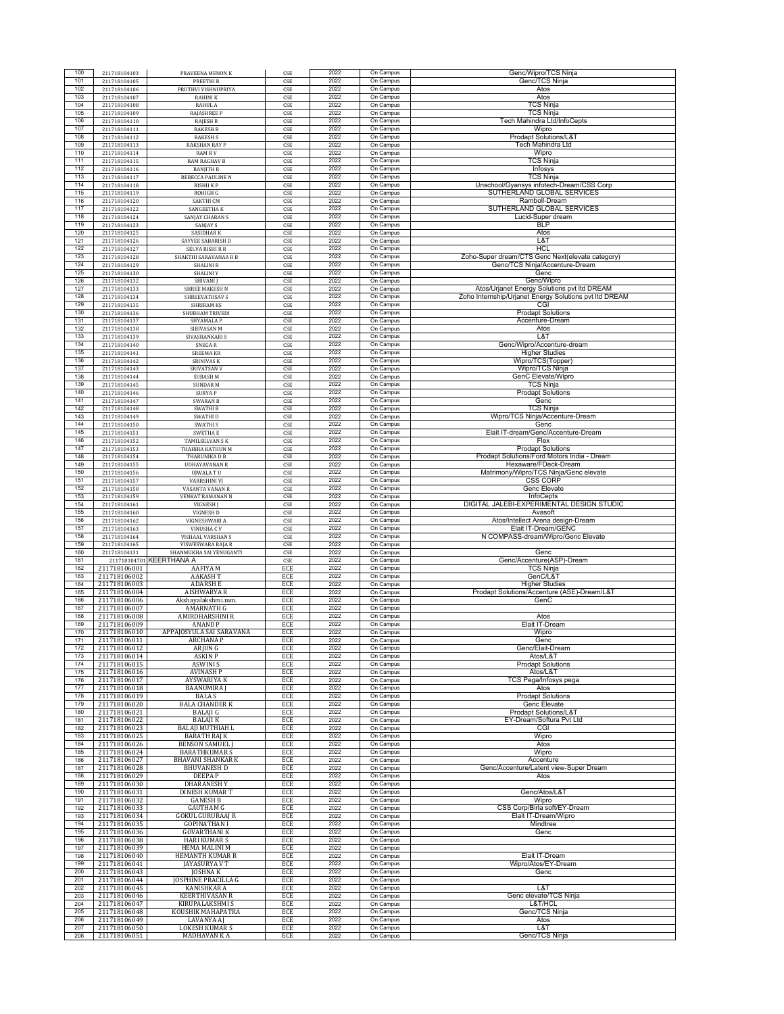| 100        | 211718104103                 | PRAVEENA MENON K                            | CSE                          | 2022         | On Campus              | Genc/Wipro/TCS Ninja                                                |
|------------|------------------------------|---------------------------------------------|------------------------------|--------------|------------------------|---------------------------------------------------------------------|
| 101<br>102 | 211718104105<br>211718104106 | PREETHI R<br>PRUTHVI VISHNUPRIYA            | CSE<br>CSE                   | 2022<br>2022 | On Campus<br>On Campus | Genc/TCS Ninja<br>Atos                                              |
| 103        | 211718104107                 | <b>RAHINI K</b>                             | CSE                          | 2022         | On Campus              | Atos                                                                |
| 104        | 211718104108                 | RAHUL A                                     | CSE                          | 2022         | On Campus              | TCS Ninja                                                           |
| 105<br>106 | 211718104109<br>211718104110 | <b>RAJASHREE P</b><br><b>RAJESH R</b>       | CSE<br>CSE                   | 2022<br>2022 | On Campus<br>On Campus | TCS Ninja<br>Tech Mahindra Ltd/InfoCepts                            |
| 107        | 211718104111                 | <b>RAKESH B</b>                             | CSE                          | 2022         | On Campus              | Wipro                                                               |
| 108        | 211718104112                 | <b>RAKESH S</b>                             | CSE                          | 2022         | On Campus              | Prodapt Solutions/L&T                                               |
| 109<br>110 | 211718104113<br>211718104114 | <b>RAKSHAN RAY P</b><br><b>RAM RV</b>       | CSE<br>CSE                   | 2022<br>2022 | On Campus<br>On Campus | <b>Tech Mahindra Ltd</b><br>Wipro                                   |
| 111        | 211718104115                 | <b>RAM RAGHAV B</b>                         | CSE                          | 2022         | On Campus              | TCS Ninja                                                           |
| 112        | 211718104116                 | <b>RANJITH R</b>                            | CSE                          | 2022         | On Campus              | Infosys                                                             |
| 113<br>114 | 211718104117<br>211718104118 | REBECCA PAULINE N<br><b>RISHII KP</b>       | CSE<br>CSE                   | 2022<br>2022 | On Campus<br>On Campus | TCS Ninja<br>Unschool/Gyansys infotech-Dream/CSS Corp               |
| 115        | 211718104119                 | ROHIGH G                                    | CSE                          | 2022         | On Campus              | SUTHERLAND GLOBAL SERVICES                                          |
| 116        | 211718104120                 | SAKTHI CM                                   | CSE                          | 2022         | On Campus              | Ramboll-Dream                                                       |
| 117<br>118 | 211718104122<br>211718104124 | SANGEETHA K<br>SANJAY CHARAN S              | CSE<br>CSE                   | 2022<br>2022 | On Campus<br>On Campus | SUTHERLAND GLOBAL SERVICES<br>Lucid-Super dream                     |
| 119        | 211718104123                 | SANJAY S                                    | CSE                          | 2022         | On Campus              | <b>BLP</b>                                                          |
| 120        | 211718104125                 | <b>SASIDHARK</b>                            | CSE                          | 2022         | On Campus              | Atos                                                                |
| 121<br>122 | 211718104126<br>211718104127 | SAYYEE SABARISH D<br>SELVA RISHI R R        | CSE<br>CSE                   | 2022<br>2022 | On Campus<br>On Campus | L&T<br><b>HCL</b>                                                   |
| 123        | 211718104128                 | SHAKTHI SARAVANAA R B                       | CSE                          | 2022         | On Campus              | Zoho-Super dream/CTS Genc Next(elevate category)                    |
| 124        | 211718104129                 | <b>SHALINI R</b>                            | CSE                          | 2022         | On Campus              | Genc/TCS Ninja/Accenture-Dream                                      |
| 125<br>126 | 211718104130<br>211718104132 | <b>SHALINIY</b><br>SHIVANI J                | CSE<br>CSE                   | 2022<br>2022 | On Campus<br>On Campus | Genc<br>Genc/Wipro                                                  |
| 127        | 211718104133                 | SHREE MAKESH N                              | CSE                          | 2022         | On Campus              | Atos/Urjanet Energy Solutions pvt Itd DREAM                         |
| 128        | 211718104134                 | <b>SHREEVATHSAV S</b>                       | CSE                          | 2022<br>2022 | On Campus              | Zoho Internship/Urjanet Energy Solutions pvt Itd DREAM              |
| 129<br>130 | 211718104135<br>211718104136 | SHRIRAM KS<br>SHUBHAM TRIVEDI               | CSE<br>CSE                   | 2022         | On Campus<br>On Campus | CGI<br><b>Prodapt Solutions</b>                                     |
| 131        | 211718104137                 | SHYAMALA P                                  | CSE                          | 2022         | On Campus              | Accenture-Dream                                                     |
| 132        | 211718104138                 | SIBIVASAN M                                 | CSE                          | 2022         | On Campus              | Atos<br>L&T                                                         |
| 133<br>134 | 211718104139<br>211718104140 | SIVASHANKARI S<br>SNEGA R                   | CSE<br>CSE                   | 2022<br>2022 | On Campus<br>On Campus | Genc/Wipro/Accenture-dream                                          |
| 135        | 211718104141                 | <b>SREEMA KR</b>                            | CSE                          | 2022         | On Campus              | <b>Higher Studies</b>                                               |
| 136<br>137 | 211718104142<br>211718104143 | <b>SRINIVAS K</b><br>SRIVATSAN V            | CSE                          | 2022<br>2022 | On Campus<br>On Campus | Wipro/TCS(Topper)<br>Wipro/TCS Ninja                                |
| 138        | 211718104144                 | <b>SUBASH M</b>                             | CSE<br>CSE                   | 2022         | On Campus              | GenC Elevate/Wipro                                                  |
| 139        | 211718104145                 | <b>SUNDAR M</b>                             | CSE                          | 2022         | On Campus              | TCS Ninja                                                           |
| 140<br>141 | 211718104146<br>211718104147 | <b>SURYAP</b><br><b>SWARAN B</b>            | CSE<br>CSE                   | 2022<br>2022 | On Campus<br>On Campus | <b>Prodapt Solutions</b><br>Genc                                    |
| 142        | 211718104148                 | <b>SWATHI B</b>                             | CSE                          | 2022         | On Campus              | TCS Ninja                                                           |
| 143        | 211718104149                 | SWATHI D                                    | CSE                          | 2022         | On Campus              | Wipro/TCS Ninja/Accenture-Dream                                     |
| 144<br>145 | 211718104150<br>211718104151 | <b>SWATHIS</b><br><b>SWETHA E</b>           | $\mathsf{CSE}\xspace$<br>CSE | 2022<br>2022 | On Campus<br>On Campus | Genc<br>Elait IT-dream/Genc/Accenture-Dream                         |
| 146        | 211718104152                 | <b>TAMILSELVAN S K</b>                      | CSE                          | 2022         | On Campus              | Flex                                                                |
| 147        | 211718104153                 | THAHIRA KATHUN M                            | CSE                          | 2022         | On Campus              | <b>Prodapt Solutions</b>                                            |
| 148<br>149 | 211718104154<br>211718104155 | THARUNIKA D B<br><b>UDHAYAVANAN R</b>       | CSE<br>CSE                   | 2022<br>2022 | On Campus<br>On Campus | Prodapt Solutions/Ford Motors India - Dream<br>Hexaware/FDeck-Dream |
| 150        | 211718104156                 | <b>UJWALATU</b>                             | CSE                          | 2022         | On Campus              | Matrimony/Wipro/TCS Ninja/Genc elevate                              |
| 151        | 211718104157                 | <b>VARRSHINI VI</b>                         | CSE                          | 2022         | On Campus              | <b>CSS CORP</b>                                                     |
| 152<br>153 | 211718104158<br>211718104159 | VASANTA VANAN R<br><b>VENKAT RAMANAN N</b>  | CSE<br>CSE                   | 2022<br>2022 | On Campus<br>On Campus | Genc Elevate<br>InfoCepts                                           |
| 154        | 211718104161                 | VIGNESH J                                   | CSE                          | 2022         | On Campus              | DIGITAL JALEBI-EXPERIMENTAL DESIGN STUDIC                           |
| 155        | 211718104160                 | <b>VIGNESH D</b>                            | CSE                          | 2022         | On Campus              | Avasoft                                                             |
|            |                              |                                             |                              |              |                        |                                                                     |
| 156        | 211718104162                 | VIGNESHWARI A                               | CSE                          | 2022         | On Campus              | Atos/Intellect Arena design-Dream                                   |
| 157<br>158 | 211718104163<br>211718104164 | VINUSHA CV<br>VISHAAL VARSHAN S             | CSE<br>CSE                   | 2022<br>2022 | On Campus<br>On Campus | Elait IT-Dream/GENC<br>N COMPASS-dream/Wipro/Genc Elevate           |
| 159        | 211718104165                 | <b>VISWESWARA RAJA R</b>                    | CSE                          | 2022         | On Campus              |                                                                     |
| 160<br>161 | 211718104131                 | SHANMUKHA SAI YENUGANTI                     | CSE                          | 2022         | On Campus              | Genc                                                                |
| 162        | 211718106001                 | 211718104701 KEERTHANA A<br>AAFIYA M        | CSE<br>ECE                   | 2022<br>2022 | On Campus<br>On Campus | Genc/Accenture(ASP)-Dream<br>TCS Ninja                              |
| 163        | 211718106002                 | <b>AAKASHT</b>                              | ECE                          | 2022         | On Campus              | GenC/L&T                                                            |
| 164<br>165 | 211718106003<br>211718106004 | <b>ADARSH E</b><br><b>AISHWARYA R</b>       | ECE<br>ECE                   | 2022<br>2022 | On Campus<br>On Campus | <b>Higher Studies</b>                                               |
| 166        | 211718106006                 | Akshayalakshmi.mm.                          | ECE                          | 2022         | On Campus              | Prodapt Solutions/Accenture (ASE)-Dream/L&T<br>GenC                 |
| 167        | 211718106007                 | AMARNATH G                                  | ECE                          | 2022         | On Campus              |                                                                     |
| 168<br>169 | 211718106008<br>211718106009 | AMIRDHARSHINI R<br><b>ANAND P</b>           | ECE<br>ECE                   | 2022<br>2022 | On Campus<br>On Campus | Atos<br>Elait IT-Dream                                              |
| 170        | 211718106010                 | APPAJOSYULA SAI SARAVANA                    | ECE                          | 2022         | On Campus              | Wipro                                                               |
| 171        | 211718106011                 | <b>ARCHANAP</b>                             | ECE                          | 2022         | On Campus              | Genc                                                                |
| 172<br>173 | 211718106012<br>211718106014 | <b>ARIUN G</b><br><b>ASKIN P</b>            | ECE<br>ECE                   | 2022<br>2022 | On Campus<br>On Campus | Genc/Elait-Dream<br>Atos/L&T                                        |
| 174        | 211718106015                 | <b>ASWINIS</b>                              | ECE                          | 2022         | On Campus              | <b>Prodapt Solutions</b>                                            |
| 175<br>176 | 211718106016<br>211718106017 | <b>AVINASH P</b><br>AYSWARIYA K             | ECE<br>ECE                   | 2022<br>2022 | On Campus<br>On Campus | Atos/L&T                                                            |
| 177        | 211718106018                 | <b>BAANUMIRA J</b>                          | ECE                          | 2022         | On Campus              | TCS Pega/Infosys pega<br>Atos                                       |
| 178        | 211718106019                 | <b>BALAS</b>                                | ECE                          | 2022         | On Campus              | <b>Prodapt Solutions</b>                                            |
| 179<br>180 | 211718106020<br>211718106021 | <b>BALA CHANDER K</b><br><b>BALAJI G</b>    | ECE<br>ECE                   | 2022<br>2022 | On Campus<br>On Campus | Genc Elevate<br>Prodapt Solutions/L&T                               |
| 181        | 211718106022                 | <b>BALAJI K</b>                             | ECE                          | 2022         | On Campus              | EY-Dream/Softura Pvt Ltd                                            |
| 182        | 211718106023                 | <b>BALAJI MUTHIAH L</b>                     | ECE                          | 2022         | On Campus              | CGI                                                                 |
| 183<br>184 | 211718106025<br>211718106026 | <b>BARATH RAJ K</b><br><b>BENSON SAMUEL</b> | ECE<br>ECE                   | 2022<br>2022 | On Campus<br>On Campus | Wipro<br>Atos                                                       |
| 185        | 211718106024                 | <b>BARATHKUMAR S</b>                        | ECE                          | 2022         | On Campus              | Wipro                                                               |
| 186<br>187 | 211718106027<br>211718106028 | <b>BHAVANI SHANKAR K</b>                    | ECE                          | 2022<br>2022 | On Campus<br>On Campus | Accenture<br>Genc/Accenture/Latent view-Super Dream                 |
| 188        | 211718106029                 | <b>BHUVANESH D</b><br><b>DEEPAP</b>         | ECE<br>ECE                   | 2022         | On Campus              | Atos                                                                |
| 189        | 211718106030                 | <b>DHARANESHY</b>                           | ECE                          | 2022         | On Campus              |                                                                     |
| 190<br>191 | 211718106031<br>211718106032 | <b>DINESH KUMAR T</b><br><b>GANESH B</b>    | ECE<br>ECE                   | 2022<br>2022 | On Campus<br>On Campus | Genc/Atos/L&T<br>Wipro                                              |
| 192        | 211718106033                 | <b>GAUTHAM G</b>                            | ECE                          | 2022         | On Campus              | CSS Corp/Birla soft/EY-Dream                                        |
| 193        | 211718106034                 | <b>GOKUL GURURAAJ R</b>                     | ECE                          | 2022         | On Campus              | Elait IT-Dream/Wipro                                                |
| 194<br>195 | 211718106035<br>211718106036 | <b>GOPINATHAN I</b><br><b>GOVARTHANI K</b>  | ECE<br>ECE                   | 2022<br>2022 | On Campus<br>On Campus | Mindtree<br>Genc                                                    |
| 196        | 211718106038                 | <b>HARI KUMAR S</b>                         | ECE                          | 2022         | On Campus              |                                                                     |
| 197        | 211718106039                 | <b>HEMA MALINI M</b>                        | ECE                          | 2022         | On Campus              |                                                                     |
| 198<br>199 | 211718106040<br>211718106041 | <b>HEMANTH KUMAR R</b><br>JAYASURYA V T     | ECE<br>ECE                   | 2022<br>2022 | On Campus<br>On Campus | Elait IT-Dream<br>Wipro/Atos/EY-Dream                               |
| 200        | 211718106043                 | <b>JOSHNAK</b>                              | ECE                          | 2022         | On Campus              | Genc                                                                |
| 201        | 211718106044                 | <b>JOSPHINE PRACILLA G</b>                  | ECE                          | 2022         | On Campus              |                                                                     |
| 202<br>203 | 211718106045<br>211718106046 | KANISHKAR A<br><b>KEERTHIVASAN R</b>        | ECE<br>ECE                   | 2022<br>2022 | On Campus<br>On Campus | L&T<br>Genc elevate/TCS Ninja                                       |
| 204        | 211718106047                 | KIRUPALAKSHMI S                             | ECE                          | 2022         | On Campus              | L&T/HCL                                                             |
| 205        | 211718106048                 | KOUSHIK MAHAPATRA                           | ECE                          | 2022         | On Campus              | Genc/TCS Ninja                                                      |
| 206<br>207 | 211718106049<br>211718106050 | LAVANYA AJ<br>LOKESH KUMAR S                | ECE<br>ECE                   | 2022<br>2022 | On Campus<br>On Campus | Atos<br>L&T<br>Genc/TCS Ninja                                       |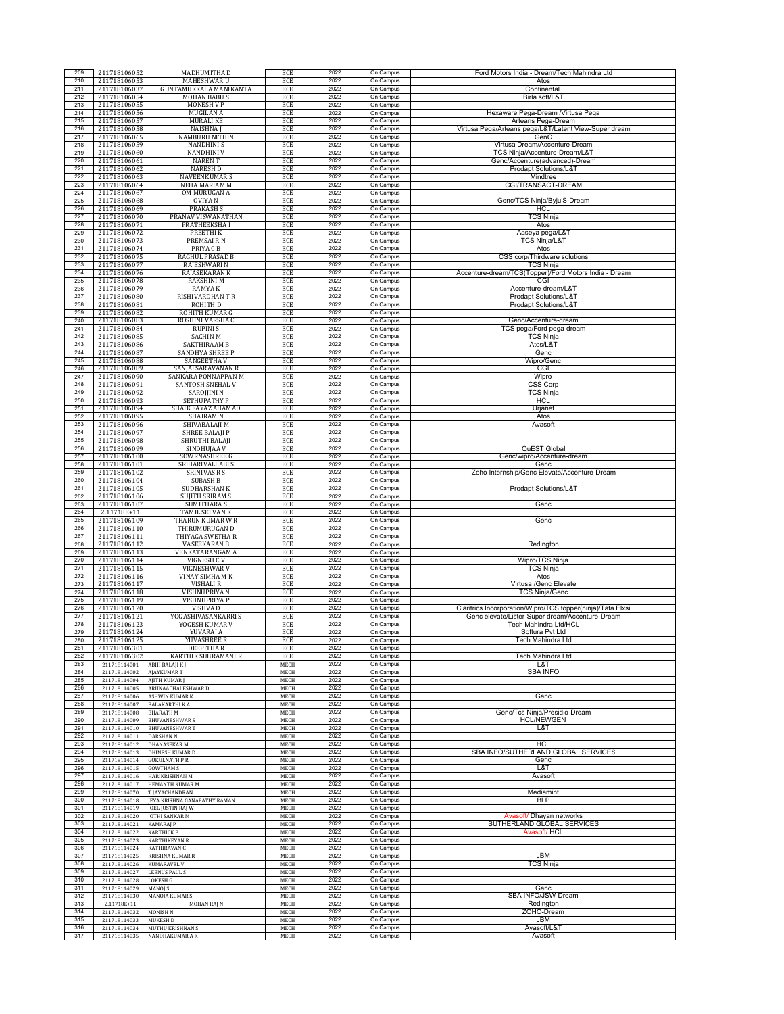| 209        | 211718106052                 | MADHUMITHA D                             | ECE          | 2022         | On Campus              | Ford Motors India - Dream/Tech Mahindra Ltd                              |
|------------|------------------------------|------------------------------------------|--------------|--------------|------------------------|--------------------------------------------------------------------------|
| 210<br>211 | 211718106053<br>211718106037 | MAHESHWAR U<br>GUNTAMUKKALA MANIKANTA    | ECE<br>ECE   | 2022<br>2022 | On Campus<br>On Campus | Atos<br>Continental                                                      |
| 212        | 211718106054                 | <b>MOHAN BABUS</b>                       | ECE          | 2022         | On Campus              | Birla soft/L&T                                                           |
| 213        | 211718106055                 | <b>MONESH V P</b>                        | ECE          | 2022         | On Campus              |                                                                          |
| 214<br>215 | 211718106056<br>211718106057 | <b>MUGILAN A</b><br><b>MURALI KE</b>     | ECE<br>ECE   | 2022<br>2022 | On Campus<br>On Campus | Hexaware Pega-Dream /Virtusa Pega<br>Arteans Pega-Dream                  |
| 216        | 211718106058                 | <b>NAISHNAJ</b>                          | ECE          | 2022         | On Campus              | Virtusa Pega/Arteans pega/L&T/Latent View-Super dream                    |
| 217        | 211718106065                 | <b>NAMBURU NITHIN</b>                    | ECE          | 2022         | On Campus              | GenC                                                                     |
| 218<br>219 | 211718106059<br>211718106060 | <b>NANDHINIS</b><br><b>NANDHINI V</b>    | ECE<br>ECE   | 2022<br>2022 | On Campus<br>On Campus | Virtusa Dream/Accenture-Dream<br>TCS Ninja/Accenture-Dream/L&T           |
| 220        | 211718106061                 | <b>NARENT</b>                            | ECE          | 2022         | On Campus              | Genc/Accenture(advanced)-Dream                                           |
| 221<br>222 | 211718106062                 | <b>NARESH D</b>                          | ECE          | 2022<br>2022 | On Campus              | Prodapt Solutions/L&T                                                    |
| 223        | 211718106063<br>211718106064 | <b>NAVEENKUMARS</b><br>NEHA MARIAM M     | ECE<br>ECE   | 2022         | On Campus<br>On Campus | Mindtree<br>CGI/TRANSACT-DREAM                                           |
| 224        | 211718106067                 | OM MURUGAN A                             | ECE          | 2022         | On Campus              |                                                                          |
| 225<br>226 | 211718106068                 | <b>OVIYAN</b>                            | ECE          | 2022         | On Campus              | Genc/TCS Ninja/Byju'S-Dream                                              |
| 227        | 211718106069<br>211718106070 | <b>PRAKASH S</b><br>PRANAV VISWANATHAN   | ECE<br>ECE   | 2022<br>2022 | On Campus<br>On Campus | HCL<br><b>TCS Ninja</b>                                                  |
| 228        | 211718106071                 | <b>PRATHEEKSHAI</b>                      | ECE          | 2022         | On Campus              | Atos                                                                     |
| 229<br>230 | 211718106072<br>211718106073 | <b>PREETHIK</b><br>PREMSAIRN             | ECE<br>ECE   | 2022<br>2022 | On Campus<br>On Campus | Aaseya pega/L&T<br><b>TCS Ninja/L&amp;T</b>                              |
| 231        | 211718106074                 | PRIYA C B                                | ECE          | 2022         | On Campus              | Atos                                                                     |
| 232        | 211718106075                 | RAGHUL PRASAD B                          | ECE          | 2022         | On Campus              | CSS corp/Thirdware solutions                                             |
| 233<br>234 | 211718106077<br>211718106076 | RAJESHWARI N<br>RAJASEKARAN K            | ECE<br>ECE   | 2022<br>2022 | On Campus<br>On Campus | TCS Ninja<br>Accenture-dream/TCS(Topper)/Ford Motors India - Dream       |
| 235        | 211718106078                 | <b>RAKSHINI M</b>                        | ECE          | 2022         | On Campus              | CGI                                                                      |
| 236        | 211718106079                 | <b>RAMYAK</b>                            | ECE          | 2022<br>2022 | On Campus              | Accenture-dream/L&T                                                      |
| 237<br>238 | 211718106080<br>211718106081 | RISHIVARDHAN TR<br>ROHITH D              | ECE<br>ECE   | 2022         | On Campus<br>On Campus | Prodapt Solutions/L&T<br>Prodapt Solutions/L&T                           |
| 239        | 211718106082                 | ROHITH KUMAR G                           | ECE          | 2022         | On Campus              |                                                                          |
| 240<br>241 | 211718106083<br>211718106084 | ROSHINI VARSHA C<br><b>RUPINIS</b>       | ECE          | 2022<br>2022 | On Campus<br>On Campus | Genc/Accenture-dream                                                     |
| 242        | 211718106085                 | <b>SACHIN M</b>                          | ECE<br>ECE   | 2022         | On Campus              | TCS pega/Ford pega-dream<br><b>TCS Ninja</b>                             |
| 243        | 211718106086                 | SAKTHIRAAM B                             | ECE          | 2022         | On Campus              | Atos/L&T                                                                 |
| 244<br>245 | 211718106087<br>211718106088 | SANDHYA SHREE P<br>SANGEETHA V           | ECE<br>ECE   | 2022<br>2022 | On Campus<br>On Campus | Genc<br>Wipro/Genc                                                       |
| 246        | 211718106089                 | SANJAI SARAVANAN R                       | ECE          | 2022         | On Campus              | CGI                                                                      |
| 247        | 211718106090                 | SANKARA PONNAPPAN M                      | ECE          | 2022         | On Campus              | Wipro                                                                    |
| 248<br>249 | 211718106091<br>211718106092 | SANTOSH SNEHAL V<br>SAROJJINI N          | ECE<br>ECE   | 2022<br>2022 | On Campus<br>On Campus | <b>CSS Corp</b><br><b>TCS Ninja</b>                                      |
| 250        | 211718106093                 | <b>SETHUPATHY P</b>                      | ECE          | 2022         | On Campus              | <b>HCL</b>                                                               |
| 251<br>252 | 211718106094<br>211718106095 | SHAIK FAYAZ AHAMAD<br><b>SHAIRAMN</b>    | ECE<br>ECE   | 2022<br>2022 | On Campus<br>On Campus | Urjanet<br>Atos                                                          |
| 253        | 211718106096                 | SHIVABALAJI M                            | ECE          | 2022         | On Campus              | Avasoft                                                                  |
| 254        | 211718106097                 | <b>SHREE BALAJI P</b>                    | ECE          | 2022         | On Campus              |                                                                          |
| 255<br>256 | 211718106098<br>211718106099 | SHRUTHI BALAJI<br>SINDHUJAA V            | ECE<br>ECE   | 2022<br>2022 | On Campus<br>On Campus | <b>QuEST Global</b>                                                      |
| 257        | 211718106100                 | SOWRNASHREE G                            | ECE          | 2022         | On Campus              | Genc/wipro/Accenture-dream                                               |
| 258        | 211718106101                 | SRIHARIVALLABI S                         | ECE          | 2022         | On Campus              | Genc                                                                     |
| 259<br>260 | 211718106102<br>211718106104 | <b>SRINIVAS R S</b><br><b>SUBASH B</b>   | ECE<br>ECE   | 2022<br>2022 | On Campus<br>On Campus | Zoho Internship/Genc Elevate/Accenture-Dream                             |
| 261        | 211718106105                 | SUDHARSHAN K                             | ECE          | 2022         | On Campus              | Prodapt Solutions/L&T                                                    |
| 262<br>263 | 211718106106<br>211718106107 | <b>SUJITH SRIRAM S</b>                   | ECE          | 2022<br>2022 | On Campus<br>On Campus |                                                                          |
| 264        | 2.11718E+11                  | <b>SUMITHARA S</b><br>TAMIL SELVAN K     | ECE<br>ECE   | 2022         | On Campus              | Genc                                                                     |
| 265        | 211718106109                 | THARUN KUMAR W R                         | ECE          | 2022         | On Campus              | Genc                                                                     |
| 266<br>267 | 211718106110<br>211718106111 | THIRUMURUGAN D<br>THIYAGA SWETHA R       | ECE<br>ECE   | 2022<br>2022 | On Campus<br>On Campus |                                                                          |
| 268        | 211718106112                 | <b>VASEEKARAN B</b>                      | ECE          | 2022         | On Campus              | Redington                                                                |
| 269        | 211718106113                 | VENKATARANGAM A                          | ECE          | 2022         | On Campus              |                                                                          |
| 270<br>271 | 211718106114<br>211718106115 | VIGNESH C V<br>VIGNESHWAR V              | ECE<br>ECE   | 2022<br>2022 | On Campus<br>On Campus | Wipro/TCS Ninja<br>TCS Ninja                                             |
| 272        | 211718106116                 | VINAY SIMHA M K                          | ECE          | 2022         | On Campus              | Atos                                                                     |
| 273<br>274 | 211718106117<br>211718106118 | <b>VISHALI R</b><br>VISHNUPRIYA N        | ECE<br>ECE   | 2022<br>2022 | On Campus<br>On Campus | Virtusa /Genc Elevate<br><b>TCS Ninja/Genc</b>                           |
| 275        | 211718106119                 | VISHNUPRIYA P                            | ECE          | 2022         | On Campus              |                                                                          |
| 276        | 211718106120                 | VISHVA D                                 | ECE          | 2022         | On Campus              | Claritrics Incorporation/Wipro/TCS topper(ninja)/Tata Elxsi              |
| 277<br>278 | 211718106121<br>211718106123 | YOGASHIVASANKARRI S<br>YOGESH KUMAR V    | ECE<br>ECE   | 2022<br>2022 | On Campus<br>On Campus | Genc elevate/Lister-Super dream/Accenture-Dream<br>Tech Mahindra Ltd/HCL |
| 279        | 211718106124                 | YUVARAJ A                                | ECE          | 2022         | On Campus              | Softura Pvt Ltd                                                          |
| 280<br>281 | 211718106125<br>211718106301 | YUVASHREE R<br>DEEPITHA.R                | ECE<br>ECE   | 2022<br>2022 | On Campus<br>On Campus | Tech Mahindra Ltd                                                        |
| 282        | 211718106302                 | KARTHIK SUBRAMANI R                      | ECE          | 2022         | On Campus              | Tech Mahindra Ltd                                                        |
| 283        | 211718114001                 | ABHI BALAJI K J                          | MECH         | 2022         | On Campus              | L&T                                                                      |
| 284<br>285 | 211718114002<br>211718114004 | <b>AJAYKUMAR T</b><br>AJITH KUMAR J      | MECH<br>MECH | 2022<br>2022 | On Campus<br>On Campus | <b>SBA INFO</b>                                                          |
| 286        | 211718114005                 | ARUNAACHALESHWAR D                       | MECH         | 2022         | On Campus              |                                                                          |
| 287<br>288 | 211718114006<br>211718114007 | ASHWIN KUMAR K<br><b>BALAKARTHI K A</b>  | MECH<br>MECH | 2022<br>2022 | On Campus<br>On Campus | Genc                                                                     |
| 289        | 211718114008                 | <b>BHARATH M</b>                         | MECH         | 2022         | On Campus              | Genc/Tcs Ninja/Presidio-Dream                                            |
| 290        | 211718114009                 | <b>BHUVANESHWAR S</b>                    | MECH         | 2022         | On Campus              | <b>HCL/NEWGEN</b>                                                        |
| 291<br>292 | 211718114010<br>211718114011 | <b>BHUVANESHWART</b><br><b>DARSHAN N</b> | MECH<br>MECH | 2022<br>2022 | On Campus<br>On Campus | L&T                                                                      |
| 293        | 211718114012                 | DHANASEKAR M                             | MECH         | 2022         | On Campus              | <b>HCL</b>                                                               |
| 294<br>295 | 211718114013                 | DHINESH KUMAR D                          | MECH         | 2022<br>2022 | On Campus<br>On Campus | SBA INFO/SUTHERLAND GLOBAL SERVICES<br>Genc                              |
| 296        | 211718114014<br>211718114015 | <b>GOKULNATH PR</b><br><b>GOWTHAM S</b>  | MECH<br>MECH | 2022         | On Campus              | L&T                                                                      |
| 297        | 211718114016                 | HARIKRISHNAN M                           | MECH         | 2022         | On Campus              | Avasoft                                                                  |
| 298<br>299 | 211718114017<br>211718114070 | HEMANTH KUMAR M<br>T JAYACHANDRAN        | MECH<br>MECH | 2022<br>2022 | On Campus<br>On Campus | Mediamint                                                                |
| 300        | 211718114018                 | JEYA KRISHNA GANAPATHY RAMAN             | MECH         | 2022         | On Campus              | <b>BLP</b>                                                               |
| 301<br>302 | 211718114019                 | JOEL JUSTIN RAJ W                        | MECH         | 2022<br>2022 | On Campus              | Avasoft/ Dhayan networks                                                 |
| 303        | 211718114020<br>211718114021 | <b>JOTHI SANKAR M</b><br>KAMARAJ P       | MECH<br>MECH | 2022         | On Campus<br>On Campus | SUTHERLAND GLOBAL SERVICES                                               |
| 304        | 211718114022                 | <b>KARTHICK P</b>                        | MECH         | 2022         | On Campus              | Avasoft/ HCL                                                             |
| 305<br>306 | 211718114023<br>211718114024 | <b>KARTHIKEYAN R</b><br>KATHIRAVAN C     | MECH<br>MECH | 2022<br>2022 | On Campus<br>On Campus |                                                                          |
| 307        | 211718114025                 | KRISHNA KUMAR R                          | MECH         | 2022         | On Campus              | <b>JBM</b>                                                               |
| 308        | 211718114026                 | <b>KUMARAVEL V</b>                       | MECH         | 2022         | On Campus              | TCS Ninja                                                                |
| 309<br>310 | 211718114027<br>211718114028 | <b>LEENUS PAUL S</b><br>LOKESH G         | MECH<br>MECH | 2022<br>2022 | On Campus<br>On Campus |                                                                          |
| 311        | 211718114029                 | MANOJ S                                  | MECH         | 2022         | On Campus              | Genc                                                                     |
| 312        | 211718114030                 | MANOJA KUMAR S                           | MECH         | 2022         | On Campus              | SBA INFO/JSW-Dream                                                       |
| 313<br>314 | 2.11718E+11<br>211718114032  | MOHAN RAJ N<br><b>MONISH N</b>           | MECH<br>MECH | 2022<br>2022 | On Campus<br>On Campus | Redington<br>ZOHO-Dream                                                  |
| 315        | 211718114033                 | <b>MUKESH D</b>                          | MECH         | 2022         | On Campus              | JBM                                                                      |
| 316<br>317 | 211718114034<br>211718114035 | MUTHU KRISHNAN S<br>NANDHAKUMAR A K      | MECH<br>MECH | 2022<br>2022 | On Campus<br>On Campus | Avasoft/L&T<br>Avasoft                                                   |
|            |                              |                                          |              |              |                        |                                                                          |